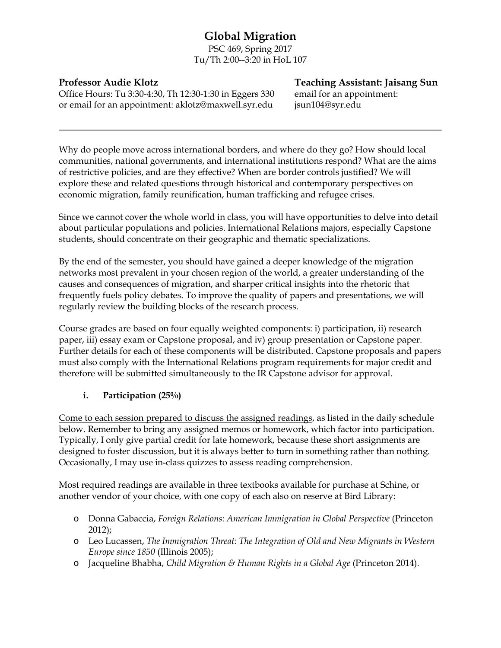# **Global Migration**

PSC 469, Spring 2017 Tu/Th 2:00--3:20 in HoL 107

Office Hours: Tu 3:30-4:30, Th 12:30-1:30 in Eggers 330 email for an appointment: or email for an appointment: aklotz@maxwell.syr.edu jsun104@syr.edu

**Professor Audie Klotz Teaching Assistant: Jaisang Sun**

Why do people move across international borders, and where do they go? How should local communities, national governments, and international institutions respond? What are the aims of restrictive policies, and are they effective? When are border controls justified? We will explore these and related questions through historical and contemporary perspectives on economic migration, family reunification, human trafficking and refugee crises.

Since we cannot cover the whole world in class, you will have opportunities to delve into detail about particular populations and policies. International Relations majors, especially Capstone students, should concentrate on their geographic and thematic specializations.

By the end of the semester, you should have gained a deeper knowledge of the migration networks most prevalent in your chosen region of the world, a greater understanding of the causes and consequences of migration, and sharper critical insights into the rhetoric that frequently fuels policy debates. To improve the quality of papers and presentations, we will regularly review the building blocks of the research process.

Course grades are based on four equally weighted components: i) participation, ii) research paper, iii) essay exam or Capstone proposal, and iv) group presentation or Capstone paper. Further details for each of these components will be distributed. Capstone proposals and papers must also comply with the International Relations program requirements for major credit and therefore will be submitted simultaneously to the IR Capstone advisor for approval.

# **i. Participation (25%)**

Come to each session prepared to discuss the assigned readings, as listed in the daily schedule below. Remember to bring any assigned memos or homework, which factor into participation. Typically, I only give partial credit for late homework, because these short assignments are designed to foster discussion, but it is always better to turn in something rather than nothing. Occasionally, I may use in-class quizzes to assess reading comprehension.

Most required readings are available in three textbooks available for purchase at Schine, or another vendor of your choice, with one copy of each also on reserve at Bird Library:

- o Donna Gabaccia, *Foreign Relations: American Immigration in Global Perspective* (Princeton 2012);
- o Leo Lucassen, *The Immigration Threat: The Integration of Old and New Migrants in Western Europe since 1850* (Illinois 2005);
- o Jacqueline Bhabha, *Child Migration & Human Rights in a Global Age* (Princeton 2014).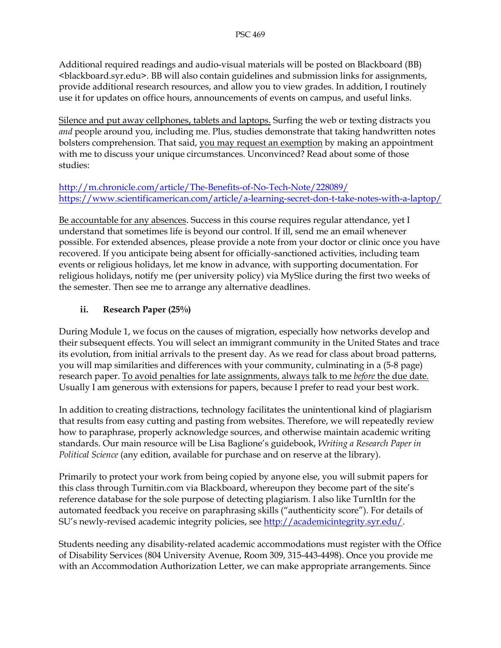Additional required readings and audio-visual materials will be posted on Blackboard (BB) <blackboard.syr.edu>. BB will also contain guidelines and submission links for assignments, provide additional research resources, and allow you to view grades. In addition, I routinely use it for updates on office hours, announcements of events on campus, and useful links.

Silence and put away cellphones, tablets and laptops. Surfing the web or texting distracts you *and* people around you, including me. Plus, studies demonstrate that taking handwritten notes bolsters comprehension. That said, you may request an exemption by making an appointment with me to discuss your unique circumstances. Unconvinced? Read about some of those studies:

#### <http://m.chronicle.com/article/The-Benefits-of-No-Tech-Note/228089/> <https://www.scientificamerican.com/article/a-learning-secret-don-t-take-notes-with-a-laptop/>

Be accountable for any absences. Success in this course requires regular attendance, yet I understand that sometimes life is beyond our control. If ill, send me an email whenever possible. For extended absences, please provide a note from your doctor or clinic once you have recovered. If you anticipate being absent for officially-sanctioned activities, including team events or religious holidays, let me know in advance, with supporting documentation. For religious holidays, notify me (per university policy) via MySlice during the first two weeks of the semester. Then see me to arrange any alternative deadlines.

# **ii. Research Paper (25%)**

During Module 1, we focus on the causes of migration, especially how networks develop and their subsequent effects. You will select an immigrant community in the United States and trace its evolution, from initial arrivals to the present day. As we read for class about broad patterns, you will map similarities and differences with your community, culminating in a (5-8 page) research paper. To avoid penalties for late assignments, always talk to me *before* the due date. Usually I am generous with extensions for papers, because I prefer to read your best work.

In addition to creating distractions, technology facilitates the unintentional kind of plagiarism that results from easy cutting and pasting from websites. Therefore, we will repeatedly review how to paraphrase, properly acknowledge sources, and otherwise maintain academic writing standards. Our main resource will be Lisa Baglione's guidebook, *Writing a Research Paper in Political Science* (any edition, available for purchase and on reserve at the library).

Primarily to protect your work from being copied by anyone else, you will submit papers for this class through Turnitin.com via Blackboard, whereupon they become part of the site's reference database for the sole purpose of detecting plagiarism. I also like TurnItIn for the automated feedback you receive on paraphrasing skills ("authenticity score"). For details of SU's newly-revised academic integrity policies, see [http://academicintegrity.syr.edu/.](http://academicintegrity.syr.edu/)

Students needing any disability-related academic accommodations must register with the Office of Disability Services (804 University Avenue, Room 309, 315-443-4498). Once you provide me with an Accommodation Authorization Letter, we can make appropriate arrangements. Since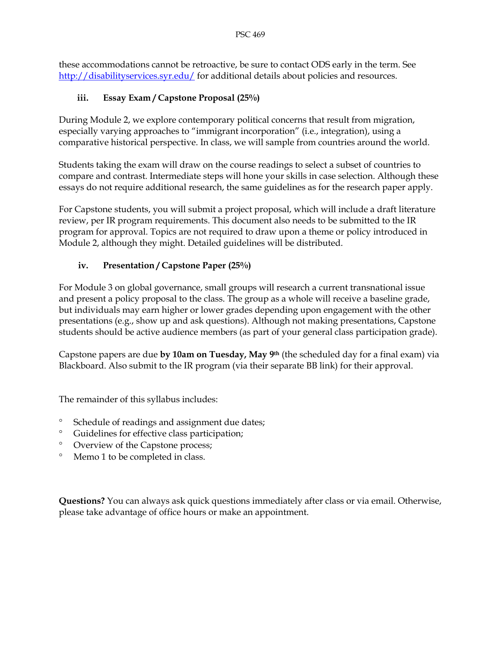these accommodations cannot be retroactive, be sure to contact ODS early in the term. See <http://disabilityservices.syr.edu/> for additional details about policies and resources.

# **iii. Essay Exam / Capstone Proposal (25%)**

During Module 2, we explore contemporary political concerns that result from migration, especially varying approaches to "immigrant incorporation" (i.e., integration), using a comparative historical perspective. In class, we will sample from countries around the world.

Students taking the exam will draw on the course readings to select a subset of countries to compare and contrast. Intermediate steps will hone your skills in case selection. Although these essays do not require additional research, the same guidelines as for the research paper apply.

For Capstone students, you will submit a project proposal, which will include a draft literature review, per IR program requirements. This document also needs to be submitted to the IR program for approval. Topics are not required to draw upon a theme or policy introduced in Module 2, although they might. Detailed guidelines will be distributed.

# **iv. Presentation / Capstone Paper (25%)**

For Module 3 on global governance, small groups will research a current transnational issue and present a policy proposal to the class. The group as a whole will receive a baseline grade, but individuals may earn higher or lower grades depending upon engagement with the other presentations (e.g., show up and ask questions). Although not making presentations, Capstone students should be active audience members (as part of your general class participation grade).

Capstone papers are due **by 10am on Tuesday, May 9th** (the scheduled day for a final exam) via Blackboard. Also submit to the IR program (via their separate BB link) for their approval.

The remainder of this syllabus includes:

- ° Schedule of readings and assignment due dates;
- ° Guidelines for effective class participation;
- ° Overview of the Capstone process;
- ° Memo 1 to be completed in class.

**Questions?** You can always ask quick questions immediately after class or via email. Otherwise, please take advantage of office hours or make an appointment.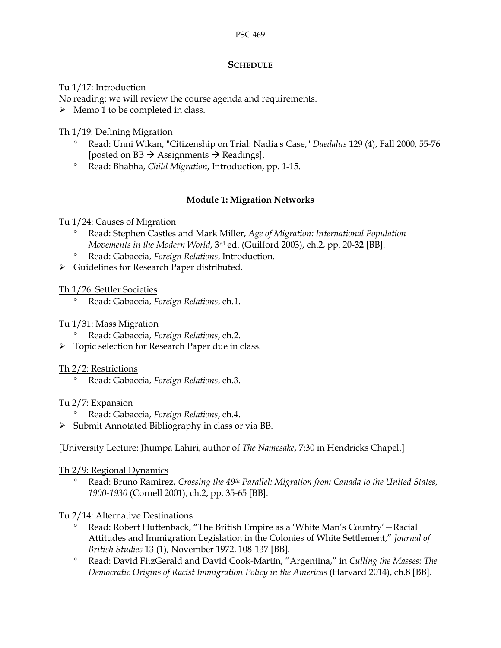# **SCHEDULE**

#### Tu 1/17: Introduction

No reading: we will review the course agenda and requirements.

 $\triangleright$  Memo 1 to be completed in class.

# Th 1/19: Defining Migration

- ° Read: Unni Wikan, "Citizenship on Trial: Nadia's Case," *Daedalus* 129 (4), Fall 2000, 55-76 [posted on BB  $\rightarrow$  Assignments  $\rightarrow$  Readings].
- ° Read: Bhabha, *Child Migration*, Introduction, pp. 1-15.

# **Module 1: Migration Networks**

#### Tu 1/24: Causes of Migration

- ° Read: Stephen Castles and Mark Miller, *Age of Migration: International Population Movements in the Modern World*, 3rd ed. (Guilford 2003), ch.2, pp. 20-**32** [BB].
- ° Read: Gabaccia, *Foreign Relations*, Introduction.
- > Guidelines for Research Paper distributed.

#### Th 1/26: Settler Societies

° Read: Gabaccia, *Foreign Relations*, ch.1.

#### Tu 1/31: Mass Migration

- ° Read: Gabaccia, *Foreign Relations*, ch.2.
- Topic selection for Research Paper due in class.

#### Th 2/2: Restrictions

° Read: Gabaccia, *Foreign Relations*, ch.3.

# Tu 2/7: Expansion

- ° Read: Gabaccia, *Foreign Relations*, ch.4.
- $\triangleright$  Submit Annotated Bibliography in class or via BB.

[University Lecture: Jhumpa Lahiri, author of *The Namesake*, 7:30 in Hendricks Chapel.]

#### Th 2/9: Regional Dynamics

° Read: Bruno Ramirez, *Crossing the 49th Parallel: Migration from Canada to the United States, 1900-1930* (Cornell 2001), ch.2, pp. 35-65 [BB].

# Tu 2/14: Alternative Destinations

- ° Read: Robert Huttenback, "The British Empire as a 'White Man's Country'—Racial Attitudes and Immigration Legislation in the Colonies of White Settlement," *Journal of British Studies* 13 (1), November 1972, 108-137 [BB].
- ° Read: David FitzGerald and David Cook-Martín, "Argentina," in *Culling the Masses: The Democratic Origins of Racist Immigration Policy in the Americas* (Harvard 2014), ch.8 [BB].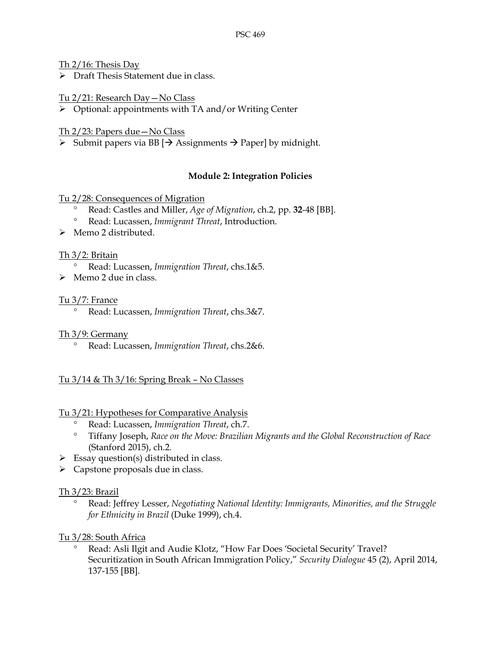Th 2/16: Thesis Day

 $\triangleright$  Draft Thesis Statement due in class.

Tu 2/21: Research Day—No Class

Optional: appointments with TA and/or Writing Center

Th 2/23: Papers due—No Class

 $\triangleright$  Submit papers via BB  $\rightarrow$  Assignments  $\rightarrow$  Paper] by midnight.

# **Module 2: Integration Policies**

#### Tu 2/28: Consequences of Migration

- ° Read: Castles and Miller, *Age of Migration*, ch.2, pp. **32**-48 [BB].
- ° Read: Lucassen, *Immigrant Threat*, Introduction.
- > Memo 2 distributed.

#### Th 3/2: Britain

- ° Read: Lucassen, *Immigration Threat*, chs.1&5.
- > Memo 2 due in class.

#### Tu 3/7: France

° Read: Lucassen, *Immigration Threat*, chs.3&7.

Th 3/9: Germany

° Read: Lucassen, *Immigration Threat*, chs.2&6.

# Tu 3/14 & Th 3/16: Spring Break – No Classes

# Tu 3/21: Hypotheses for Comparative Analysis

- ° Read: Lucassen, *Immigration Threat*, ch.7.
- ° Tiffany Joseph, *Race on the Move: Brazilian Migrants and the Global Reconstruction of Race* (Stanford 2015), ch.2.
- $\triangleright$  Essay question(s) distributed in class.
- $\triangleright$  Capstone proposals due in class.

# Th 3/23: Brazil

° Read: Jeffrey Lesser, *Negotiating National Identity: Immigrants, Minorities, and the Struggle for Ethnicity in Brazil* (Duke 1999), ch.4.

# Tu 3/28: South Africa

Read: Asli Ilgit and Audie Klotz, "How Far Does 'Societal Security' Travel? Securitization in South African Immigration Policy," *Security Dialogue* 45 (2), April 2014, 137-155 [BB].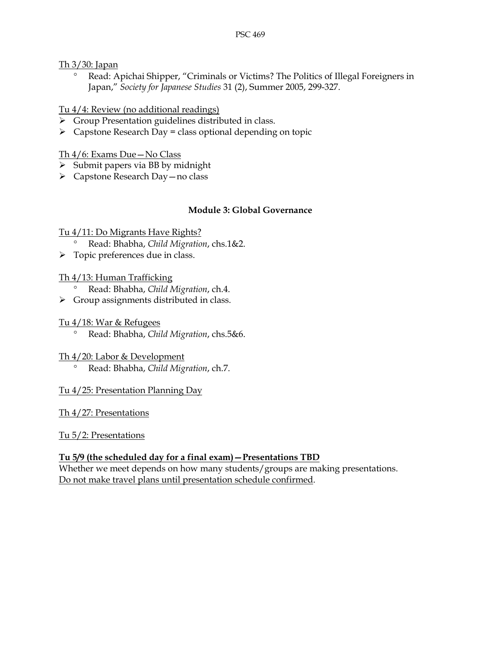Th 3/30: Japan

° Read: Apichai Shipper, "Criminals or Victims? The Politics of Illegal Foreigners in Japan," *Society for Japanese Studies* 31 (2), Summer 2005, 299-327.

# Tu 4/4: Review (no additional readings)

- Group Presentation guidelines distributed in class.
- $\triangleright$  Capstone Research Day = class optional depending on topic

# Th 4/6: Exams Due—No Class

- $\triangleright$  Submit papers via BB by midnight
- $\triangleright$  Capstone Research Day no class

# **Module 3: Global Governance**

# Tu 4/11: Do Migrants Have Rights?

- ° Read: Bhabha, *Child Migration*, chs.1&2.
- $\triangleright$  Topic preferences due in class.

# Th 4/13: Human Trafficking

- ° Read: Bhabha, *Child Migration*, ch.4.
- $\triangleright$  Group assignments distributed in class.

# Tu 4/18: War & Refugees

- ° Read: Bhabha, *Child Migration*, chs.5&6.
- Th 4/20: Labor & Development
	- ° Read: Bhabha, *Child Migration*, ch.7.

# Tu 4/25: Presentation Planning Day

# Th 4/27: Presentations

# Tu 5/2: Presentations

# **Tu 5/9 (the scheduled day for a final exam)—Presentations TBD**

Whether we meet depends on how many students/groups are making presentations. Do not make travel plans until presentation schedule confirmed.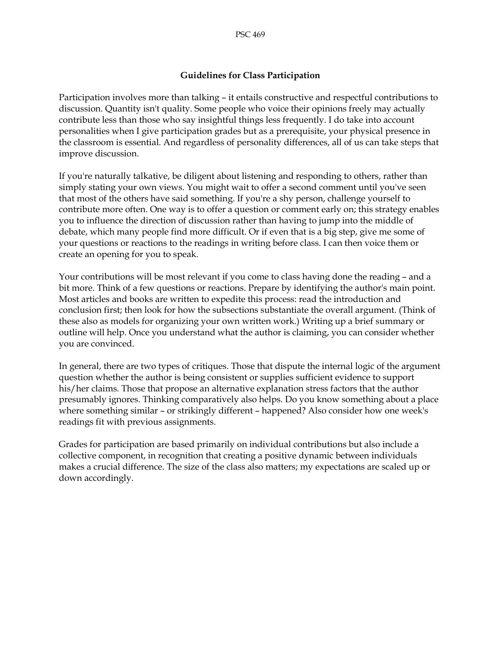#### **Guidelines for Class Participation**

Participation involves more than talking – it entails constructive and respectful contributions to discussion. Quantity isn't quality. Some people who voice their opinions freely may actually contribute less than those who say insightful things less frequently. I do take into account personalities when I give participation grades but as a prerequisite, your physical presence in the classroom is essential. And regardless of personality differences, all of us can take steps that improve discussion.

If you're naturally talkative, be diligent about listening and responding to others, rather than simply stating your own views. You might wait to offer a second comment until you've seen that most of the others have said something. If you're a shy person, challenge yourself to contribute more often. One way is to offer a question or comment early on; this strategy enables you to influence the direction of discussion rather than having to jump into the middle of debate, which many people find more difficult. Or if even that is a big step, give me some of your questions or reactions to the readings in writing before class. I can then voice them or create an opening for you to speak.

Your contributions will be most relevant if you come to class having done the reading – and a bit more. Think of a few questions or reactions. Prepare by identifying the author's main point. Most articles and books are written to expedite this process: read the introduction and conclusion first; then look for how the subsections substantiate the overall argument. (Think of these also as models for organizing your own written work.) Writing up a brief summary or outline will help. Once you understand what the author is claiming, you can consider whether you are convinced.

In general, there are two types of critiques. Those that dispute the internal logic of the argument question whether the author is being consistent or supplies sufficient evidence to support his/her claims. Those that propose an alternative explanation stress factors that the author presumably ignores. Thinking comparatively also helps. Do you know something about a place where something similar – or strikingly different – happened? Also consider how one week's readings fit with previous assignments.

Grades for participation are based primarily on individual contributions but also include a collective component, in recognition that creating a positive dynamic between individuals makes a crucial difference. The size of the class also matters; my expectations are scaled up or down accordingly.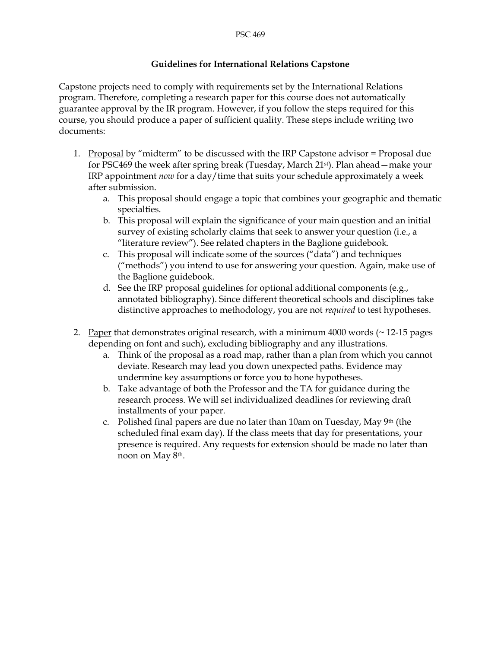#### **Guidelines for International Relations Capstone**

Capstone projects need to comply with requirements set by the International Relations program. Therefore, completing a research paper for this course does not automatically guarantee approval by the IR program. However, if you follow the steps required for this course, you should produce a paper of sufficient quality. These steps include writing two documents:

- 1. Proposal by "midterm" to be discussed with the IRP Capstone advisor = Proposal due for PSC469 the week after spring break (Tuesday, March 21st). Plan ahead—make your IRP appointment *now* for a day/time that suits your schedule approximately a week after submission.
	- a. This proposal should engage a topic that combines your geographic and thematic specialties.
	- b. This proposal will explain the significance of your main question and an initial survey of existing scholarly claims that seek to answer your question (i.e., a "literature review"). See related chapters in the Baglione guidebook.
	- c. This proposal will indicate some of the sources ("data") and techniques ("methods") you intend to use for answering your question. Again, make use of the Baglione guidebook.
	- d. See the IRP proposal guidelines for optional additional components (e.g., annotated bibliography). Since different theoretical schools and disciplines take distinctive approaches to methodology, you are not *required* to test hypotheses.
- 2. Paper that demonstrates original research, with a minimum 4000 words  $($   $\sim$  12-15 pages depending on font and such), excluding bibliography and any illustrations.
	- a. Think of the proposal as a road map, rather than a plan from which you cannot deviate. Research may lead you down unexpected paths. Evidence may undermine key assumptions or force you to hone hypotheses.
	- b. Take advantage of both the Professor and the TA for guidance during the research process. We will set individualized deadlines for reviewing draft installments of your paper.
	- c. Polished final papers are due no later than 10am on Tuesday, May 9th (the scheduled final exam day). If the class meets that day for presentations, your presence is required. Any requests for extension should be made no later than noon on May 8th.